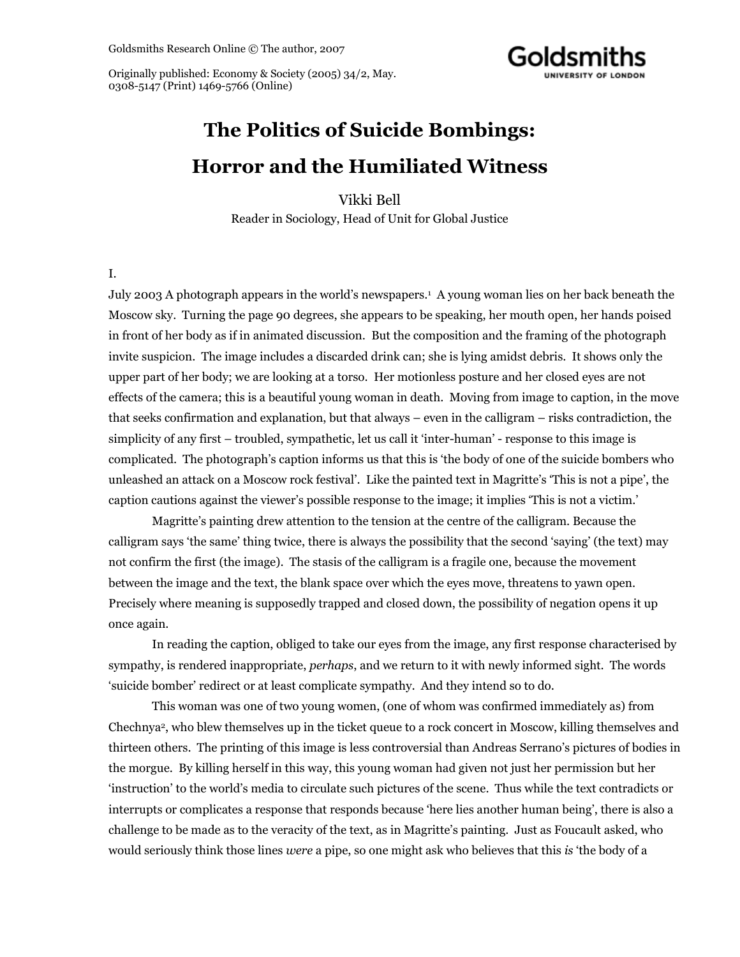Originally published: Economy & Society (2005) 34/2, May. 0308-5147 (Print) 1469-5766 (Online)

# **The Politics of Suicide Bombings: Horror and the Humiliated Witness**

Vikki Bell Reader in Sociology, Head of Unit for Global Justice

I.

July 2003 A photograph appears in the world's newspapers.1 A young woman lies on her back beneath the Moscow sky. Turning the page 90 degrees, she appears to be speaking, her mouth open, her hands poised in front of her body as if in animated discussion. But the composition and the framing of the photograph invite suspicion. The image includes a discarded drink can; she is lying amidst debris. It shows only the upper part of her body; we are looking at a torso. Her motionless posture and her closed eyes are not effects of the camera; this is a beautiful young woman in death. Moving from image to caption, in the move that seeks confirmation and explanation, but that always – even in the calligram – risks contradiction, the simplicity of any first – troubled, sympathetic, let us call it 'inter-human' - response to this image is complicated. The photograph's caption informs us that this is 'the body of one of the suicide bombers who unleashed an attack on a Moscow rock festival'. Like the painted text in Magritte's 'This is not a pipe', the caption cautions against the viewer's possible response to the image; it implies 'This is not a victim.'

Magritte's painting drew attention to the tension at the centre of the calligram. Because the calligram says 'the same' thing twice, there is always the possibility that the second 'saying' (the text) may not confirm the first (the image). The stasis of the calligram is a fragile one, because the movement between the image and the text, the blank space over which the eyes move, threatens to yawn open. Precisely where meaning is supposedly trapped and closed down, the possibility of negation opens it up once again.

In reading the caption, obliged to take our eyes from the image, any first response characterised by sympathy, is rendered inappropriate, *perhaps*, and we return to it with newly informed sight. The words 'suicide bomber' redirect or at least complicate sympathy. And they intend so to do.

This woman was one of two young women, (one of whom was confirmed immediately as) from Chechnya2, who blew themselves up in the ticket queue to a rock concert in Moscow, killing themselves and thirteen others. The printing of this image is less controversial than Andreas Serrano's pictures of bodies in the morgue. By killing herself in this way, this young woman had given not just her permission but her 'instruction' to the world's media to circulate such pictures of the scene. Thus while the text contradicts or interrupts or complicates a response that responds because 'here lies another human being', there is also a challenge to be made as to the veracity of the text, as in Magritte's painting. Just as Foucault asked, who would seriously think those lines *were* a pipe, so one might ask who believes that this *is* 'the body of a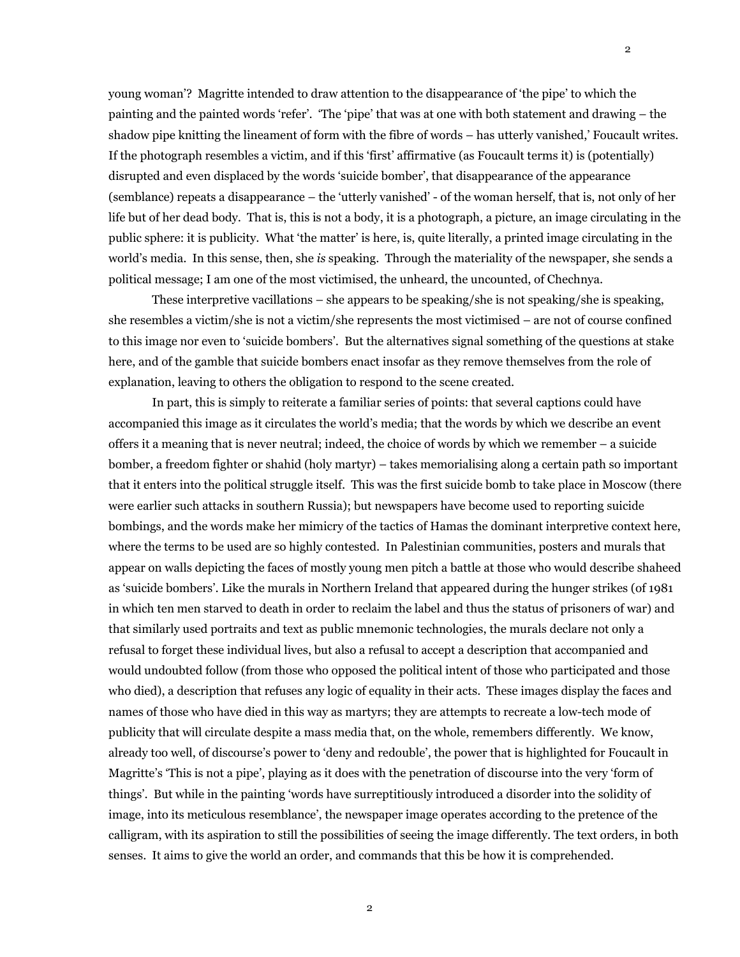young woman'? Magritte intended to draw attention to the disappearance of 'the pipe' to which the painting and the painted words 'refer'. 'The 'pipe' that was at one with both statement and drawing – the shadow pipe knitting the lineament of form with the fibre of words – has utterly vanished,' Foucault writes. If the photograph resembles a victim, and if this 'first' affirmative (as Foucault terms it) is (potentially) disrupted and even displaced by the words 'suicide bomber', that disappearance of the appearance (semblance) repeats a disappearance – the 'utterly vanished' - of the woman herself, that is, not only of her life but of her dead body. That is, this is not a body, it is a photograph, a picture, an image circulating in the public sphere: it is publicity. What 'the matter' is here, is, quite literally, a printed image circulating in the world's media. In this sense, then, she *is* speaking. Through the materiality of the newspaper, she sends a political message; I am one of the most victimised, the unheard, the uncounted, of Chechnya.

These interpretive vacillations – she appears to be speaking/she is not speaking/she is speaking, she resembles a victim/she is not a victim/she represents the most victimised – are not of course confined to this image nor even to 'suicide bombers'. But the alternatives signal something of the questions at stake here, and of the gamble that suicide bombers enact insofar as they remove themselves from the role of explanation, leaving to others the obligation to respond to the scene created.

In part, this is simply to reiterate a familiar series of points: that several captions could have accompanied this image as it circulates the world's media; that the words by which we describe an event offers it a meaning that is never neutral; indeed, the choice of words by which we remember – a suicide bomber, a freedom fighter or shahid (holy martyr) – takes memorialising along a certain path so important that it enters into the political struggle itself. This was the first suicide bomb to take place in Moscow (there were earlier such attacks in southern Russia); but newspapers have become used to reporting suicide bombings, and the words make her mimicry of the tactics of Hamas the dominant interpretive context here, where the terms to be used are so highly contested. In Palestinian communities, posters and murals that appear on walls depicting the faces of mostly young men pitch a battle at those who would describe shaheed as 'suicide bombers'. Like the murals in Northern Ireland that appeared during the hunger strikes (of 1981 in which ten men starved to death in order to reclaim the label and thus the status of prisoners of war) and that similarly used portraits and text as public mnemonic technologies, the murals declare not only a refusal to forget these individual lives, but also a refusal to accept a description that accompanied and would undoubted follow (from those who opposed the political intent of those who participated and those who died), a description that refuses any logic of equality in their acts. These images display the faces and names of those who have died in this way as martyrs; they are attempts to recreate a low-tech mode of publicity that will circulate despite a mass media that, on the whole, remembers differently. We know, already too well, of discourse's power to 'deny and redouble', the power that is highlighted for Foucault in Magritte's 'This is not a pipe', playing as it does with the penetration of discourse into the very 'form of things'. But while in the painting 'words have surreptitiously introduced a disorder into the solidity of image, into its meticulous resemblance', the newspaper image operates according to the pretence of the calligram, with its aspiration to still the possibilities of seeing the image differently. The text orders, in both senses. It aims to give the world an order, and commands that this be how it is comprehended.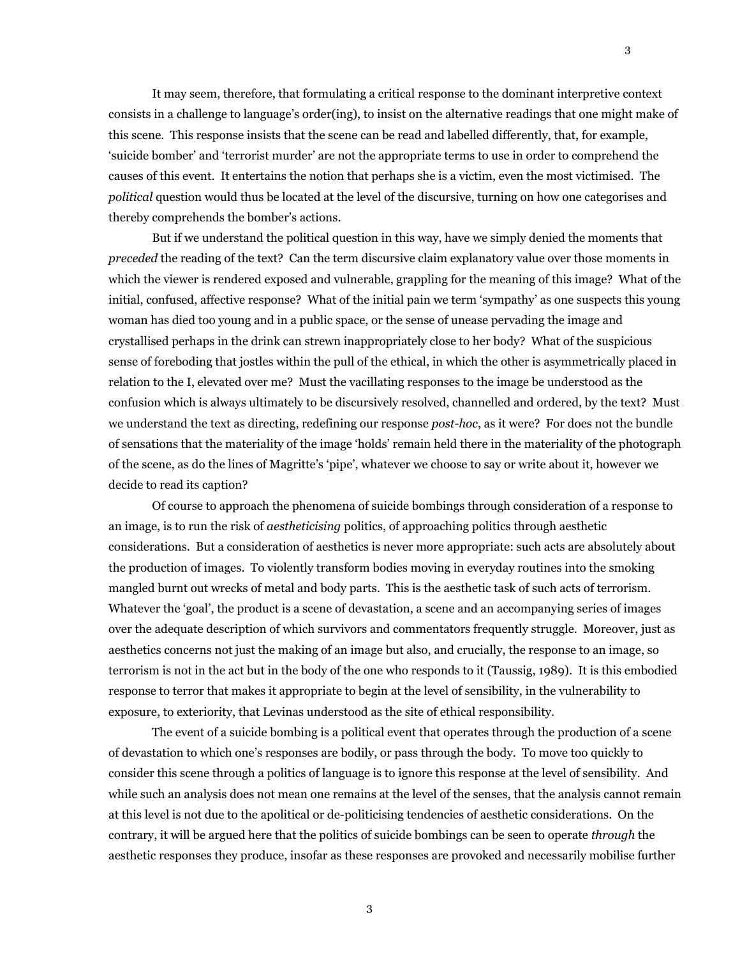It may seem, therefore, that formulating a critical response to the dominant interpretive context consists in a challenge to language's order(ing), to insist on the alternative readings that one might make of this scene. This response insists that the scene can be read and labelled differently, that, for example, 'suicide bomber' and 'terrorist murder' are not the appropriate terms to use in order to comprehend the causes of this event. It entertains the notion that perhaps she is a victim, even the most victimised. The *political* question would thus be located at the level of the discursive, turning on how one categorises and thereby comprehends the bomber's actions.

But if we understand the political question in this way, have we simply denied the moments that *preceded* the reading of the text? Can the term discursive claim explanatory value over those moments in which the viewer is rendered exposed and vulnerable, grappling for the meaning of this image? What of the initial, confused, affective response? What of the initial pain we term 'sympathy' as one suspects this young woman has died too young and in a public space, or the sense of unease pervading the image and crystallised perhaps in the drink can strewn inappropriately close to her body? What of the suspicious sense of foreboding that jostles within the pull of the ethical, in which the other is asymmetrically placed in relation to the I, elevated over me? Must the vacillating responses to the image be understood as the confusion which is always ultimately to be discursively resolved, channelled and ordered, by the text? Must we understand the text as directing, redefining our response *post-hoc*, as it were? For does not the bundle of sensations that the materiality of the image 'holds' remain held there in the materiality of the photograph of the scene, as do the lines of Magritte's 'pipe', whatever we choose to say or write about it, however we decide to read its caption?

Of course to approach the phenomena of suicide bombings through consideration of a response to an image, is to run the risk of *aestheticising* politics, of approaching politics through aesthetic considerations. But a consideration of aesthetics is never more appropriate: such acts are absolutely about the production of images. To violently transform bodies moving in everyday routines into the smoking mangled burnt out wrecks of metal and body parts. This is the aesthetic task of such acts of terrorism. Whatever the 'goal', the product is a scene of devastation, a scene and an accompanying series of images over the adequate description of which survivors and commentators frequently struggle. Moreover, just as aesthetics concerns not just the making of an image but also, and crucially, the response to an image, so terrorism is not in the act but in the body of the one who responds to it (Taussig, 1989). It is this embodied response to terror that makes it appropriate to begin at the level of sensibility, in the vulnerability to exposure, to exteriority, that Levinas understood as the site of ethical responsibility.

The event of a suicide bombing is a political event that operates through the production of a scene of devastation to which one's responses are bodily, or pass through the body. To move too quickly to consider this scene through a politics of language is to ignore this response at the level of sensibility. And while such an analysis does not mean one remains at the level of the senses, that the analysis cannot remain at this level is not due to the apolitical or de-politicising tendencies of aesthetic considerations. On the contrary, it will be argued here that the politics of suicide bombings can be seen to operate *through* the aesthetic responses they produce, insofar as these responses are provoked and necessarily mobilise further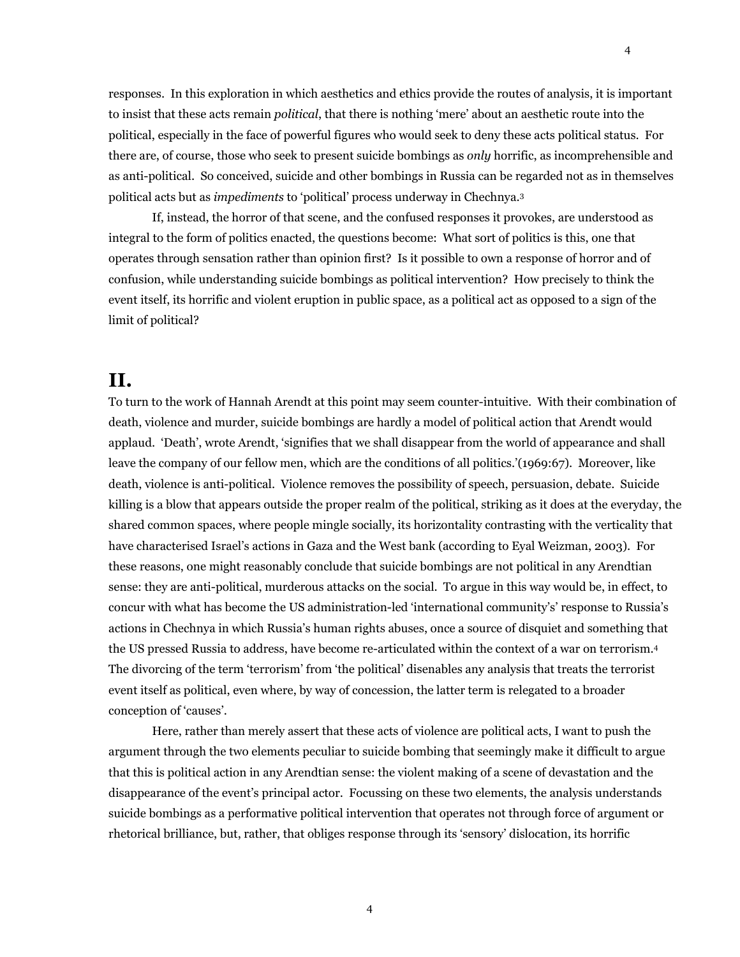responses. In this exploration in which aesthetics and ethics provide the routes of analysis, it is important to insist that these acts remain *political*, that there is nothing 'mere' about an aesthetic route into the political, especially in the face of powerful figures who would seek to deny these acts political status. For there are, of course, those who seek to present suicide bombings as *only* horrific, as incomprehensible and as anti-political. So conceived, suicide and other bombings in Russia can be regarded not as in themselves political acts but as *impediments* to 'political' process underway in Chechnya.3

4

If, instead, the horror of that scene, and the confused responses it provokes, are understood as integral to the form of politics enacted, the questions become: What sort of politics is this, one that operates through sensation rather than opinion first? Is it possible to own a response of horror and of confusion, while understanding suicide bombings as political intervention? How precisely to think the event itself, its horrific and violent eruption in public space, as a political act as opposed to a sign of the limit of political?

# **II.**

To turn to the work of Hannah Arendt at this point may seem counter-intuitive. With their combination of death, violence and murder, suicide bombings are hardly a model of political action that Arendt would applaud. 'Death', wrote Arendt, 'signifies that we shall disappear from the world of appearance and shall leave the company of our fellow men, which are the conditions of all politics.'(1969:67). Moreover, like death, violence is anti-political. Violence removes the possibility of speech, persuasion, debate. Suicide killing is a blow that appears outside the proper realm of the political, striking as it does at the everyday, the shared common spaces, where people mingle socially, its horizontality contrasting with the verticality that have characterised Israel's actions in Gaza and the West bank (according to Eyal Weizman, 2003). For these reasons, one might reasonably conclude that suicide bombings are not political in any Arendtian sense: they are anti-political, murderous attacks on the social. To argue in this way would be, in effect, to concur with what has become the US administration-led 'international community's' response to Russia's actions in Chechnya in which Russia's human rights abuses, once a source of disquiet and something that the US pressed Russia to address, have become re-articulated within the context of a war on terrorism.4 The divorcing of the term 'terrorism' from 'the political' disenables any analysis that treats the terrorist event itself as political, even where, by way of concession, the latter term is relegated to a broader conception of 'causes'.

Here, rather than merely assert that these acts of violence are political acts, I want to push the argument through the two elements peculiar to suicide bombing that seemingly make it difficult to argue that this is political action in any Arendtian sense: the violent making of a scene of devastation and the disappearance of the event's principal actor. Focussing on these two elements, the analysis understands suicide bombings as a performative political intervention that operates not through force of argument or rhetorical brilliance, but, rather, that obliges response through its 'sensory' dislocation, its horrific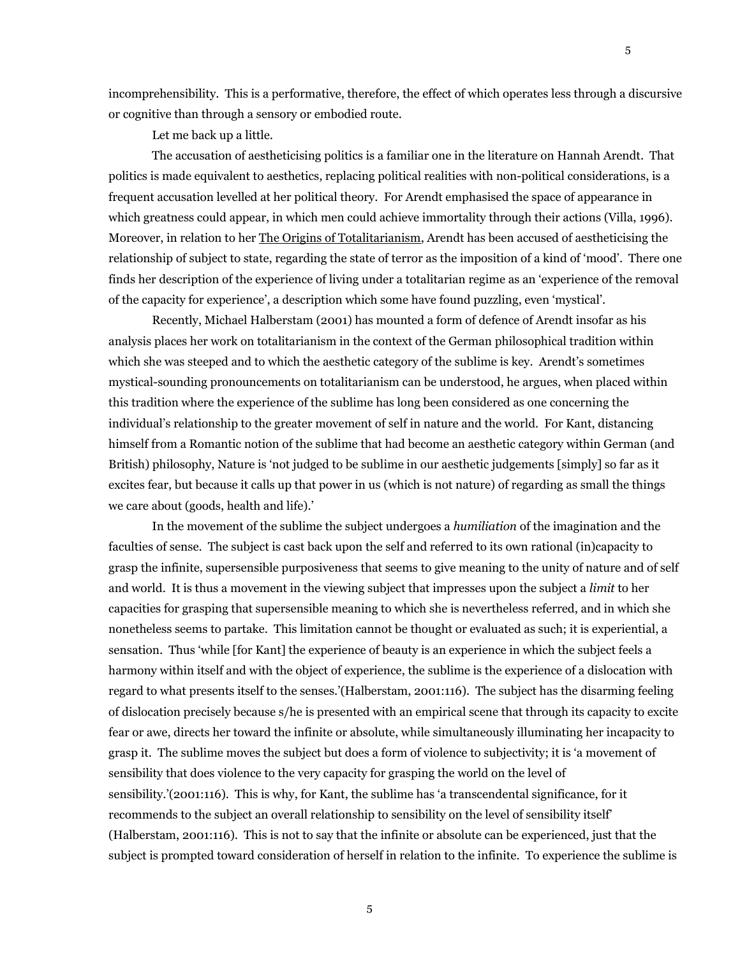5

incomprehensibility. This is a performative, therefore, the effect of which operates less through a discursive or cognitive than through a sensory or embodied route.

Let me back up a little.

The accusation of aestheticising politics is a familiar one in the literature on Hannah Arendt. That politics is made equivalent to aesthetics, replacing political realities with non-political considerations, is a frequent accusation levelled at her political theory. For Arendt emphasised the space of appearance in which greatness could appear, in which men could achieve immortality through their actions (Villa, 1996). Moreover, in relation to her The Origins of Totalitarianism, Arendt has been accused of aestheticising the relationship of subject to state, regarding the state of terror as the imposition of a kind of 'mood'. There one finds her description of the experience of living under a totalitarian regime as an 'experience of the removal of the capacity for experience', a description which some have found puzzling, even 'mystical'.

Recently, Michael Halberstam (2001) has mounted a form of defence of Arendt insofar as his analysis places her work on totalitarianism in the context of the German philosophical tradition within which she was steeped and to which the aesthetic category of the sublime is key. Arendt's sometimes mystical-sounding pronouncements on totalitarianism can be understood, he argues, when placed within this tradition where the experience of the sublime has long been considered as one concerning the individual's relationship to the greater movement of self in nature and the world. For Kant, distancing himself from a Romantic notion of the sublime that had become an aesthetic category within German (and British) philosophy, Nature is 'not judged to be sublime in our aesthetic judgements [simply] so far as it excites fear, but because it calls up that power in us (which is not nature) of regarding as small the things we care about (goods, health and life).'

In the movement of the sublime the subject undergoes a *humiliation* of the imagination and the faculties of sense. The subject is cast back upon the self and referred to its own rational (in)capacity to grasp the infinite, supersensible purposiveness that seems to give meaning to the unity of nature and of self and world. It is thus a movement in the viewing subject that impresses upon the subject a *limit* to her capacities for grasping that supersensible meaning to which she is nevertheless referred, and in which she nonetheless seems to partake. This limitation cannot be thought or evaluated as such; it is experiential, a sensation. Thus 'while [for Kant] the experience of beauty is an experience in which the subject feels a harmony within itself and with the object of experience, the sublime is the experience of a dislocation with regard to what presents itself to the senses.'(Halberstam, 2001:116). The subject has the disarming feeling of dislocation precisely because s/he is presented with an empirical scene that through its capacity to excite fear or awe, directs her toward the infinite or absolute, while simultaneously illuminating her incapacity to grasp it. The sublime moves the subject but does a form of violence to subjectivity; it is 'a movement of sensibility that does violence to the very capacity for grasping the world on the level of sensibility.'(2001:116). This is why, for Kant, the sublime has 'a transcendental significance, for it recommends to the subject an overall relationship to sensibility on the level of sensibility itself' (Halberstam, 2001:116). This is not to say that the infinite or absolute can be experienced, just that the subject is prompted toward consideration of herself in relation to the infinite. To experience the sublime is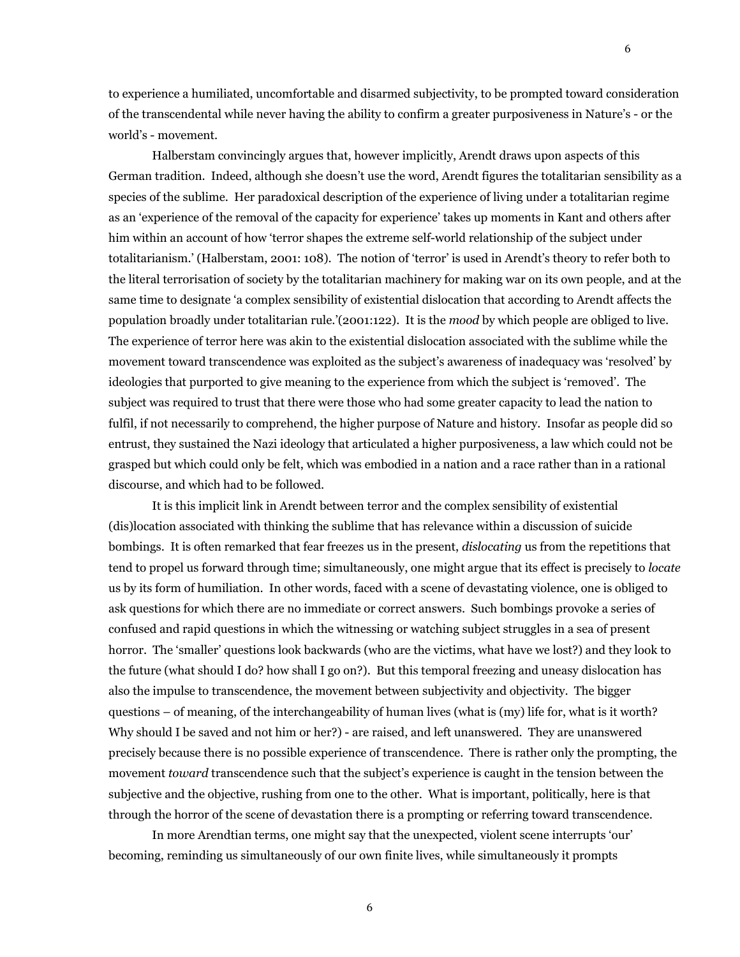to experience a humiliated, uncomfortable and disarmed subjectivity, to be prompted toward consideration of the transcendental while never having the ability to confirm a greater purposiveness in Nature's - or the world's - movement.

Halberstam convincingly argues that, however implicitly, Arendt draws upon aspects of this German tradition. Indeed, although she doesn't use the word, Arendt figures the totalitarian sensibility as a species of the sublime. Her paradoxical description of the experience of living under a totalitarian regime as an 'experience of the removal of the capacity for experience' takes up moments in Kant and others after him within an account of how 'terror shapes the extreme self-world relationship of the subject under totalitarianism.' (Halberstam, 2001: 108). The notion of 'terror' is used in Arendt's theory to refer both to the literal terrorisation of society by the totalitarian machinery for making war on its own people, and at the same time to designate 'a complex sensibility of existential dislocation that according to Arendt affects the population broadly under totalitarian rule.'(2001:122). It is the *mood* by which people are obliged to live. The experience of terror here was akin to the existential dislocation associated with the sublime while the movement toward transcendence was exploited as the subject's awareness of inadequacy was 'resolved' by ideologies that purported to give meaning to the experience from which the subject is 'removed'. The subject was required to trust that there were those who had some greater capacity to lead the nation to fulfil, if not necessarily to comprehend, the higher purpose of Nature and history. Insofar as people did so entrust, they sustained the Nazi ideology that articulated a higher purposiveness, a law which could not be grasped but which could only be felt, which was embodied in a nation and a race rather than in a rational discourse, and which had to be followed.

It is this implicit link in Arendt between terror and the complex sensibility of existential (dis)location associated with thinking the sublime that has relevance within a discussion of suicide bombings. It is often remarked that fear freezes us in the present, *dislocating* us from the repetitions that tend to propel us forward through time; simultaneously, one might argue that its effect is precisely to *locate* us by its form of humiliation. In other words, faced with a scene of devastating violence, one is obliged to ask questions for which there are no immediate or correct answers. Such bombings provoke a series of confused and rapid questions in which the witnessing or watching subject struggles in a sea of present horror. The 'smaller' questions look backwards (who are the victims, what have we lost?) and they look to the future (what should I do? how shall I go on?). But this temporal freezing and uneasy dislocation has also the impulse to transcendence, the movement between subjectivity and objectivity. The bigger questions – of meaning, of the interchangeability of human lives (what is (my) life for, what is it worth? Why should I be saved and not him or her?) - are raised, and left unanswered. They are unanswered precisely because there is no possible experience of transcendence. There is rather only the prompting, the movement *toward* transcendence such that the subject's experience is caught in the tension between the subjective and the objective, rushing from one to the other. What is important, politically, here is that through the horror of the scene of devastation there is a prompting or referring toward transcendence.

In more Arendtian terms, one might say that the unexpected, violent scene interrupts 'our' becoming, reminding us simultaneously of our own finite lives, while simultaneously it prompts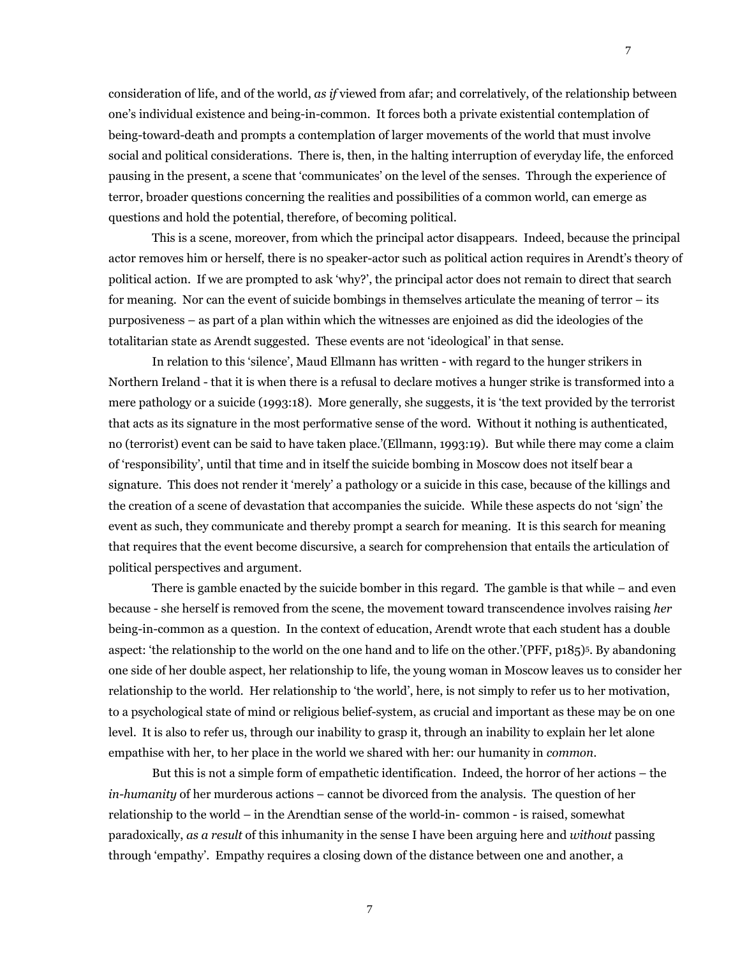consideration of life, and of the world, *as if* viewed from afar; and correlatively, of the relationship between one's individual existence and being-in-common. It forces both a private existential contemplation of being-toward-death and prompts a contemplation of larger movements of the world that must involve social and political considerations. There is, then, in the halting interruption of everyday life, the enforced pausing in the present, a scene that 'communicates' on the level of the senses. Through the experience of terror, broader questions concerning the realities and possibilities of a common world, can emerge as questions and hold the potential, therefore, of becoming political.

This is a scene, moreover, from which the principal actor disappears. Indeed, because the principal actor removes him or herself, there is no speaker-actor such as political action requires in Arendt's theory of political action. If we are prompted to ask 'why?', the principal actor does not remain to direct that search for meaning. Nor can the event of suicide bombings in themselves articulate the meaning of terror – its purposiveness – as part of a plan within which the witnesses are enjoined as did the ideologies of the totalitarian state as Arendt suggested. These events are not 'ideological' in that sense.

In relation to this 'silence', Maud Ellmann has written - with regard to the hunger strikers in Northern Ireland - that it is when there is a refusal to declare motives a hunger strike is transformed into a mere pathology or a suicide (1993:18). More generally, she suggests, it is 'the text provided by the terrorist that acts as its signature in the most performative sense of the word. Without it nothing is authenticated, no (terrorist) event can be said to have taken place.'(Ellmann, 1993:19). But while there may come a claim of 'responsibility', until that time and in itself the suicide bombing in Moscow does not itself bear a signature. This does not render it 'merely' a pathology or a suicide in this case, because of the killings and the creation of a scene of devastation that accompanies the suicide. While these aspects do not 'sign' the event as such, they communicate and thereby prompt a search for meaning. It is this search for meaning that requires that the event become discursive, a search for comprehension that entails the articulation of political perspectives and argument.

There is gamble enacted by the suicide bomber in this regard. The gamble is that while – and even because - she herself is removed from the scene, the movement toward transcendence involves raising *her* being-in-common as a question. In the context of education, Arendt wrote that each student has a double aspect: 'the relationship to the world on the one hand and to life on the other.'(PFF, p185)5. By abandoning one side of her double aspect, her relationship to life, the young woman in Moscow leaves us to consider her relationship to the world. Her relationship to 'the world', here, is not simply to refer us to her motivation, to a psychological state of mind or religious belief-system, as crucial and important as these may be on one level. It is also to refer us, through our inability to grasp it, through an inability to explain her let alone empathise with her, to her place in the world we shared with her: our humanity in *common*.

But this is not a simple form of empathetic identification. Indeed, the horror of her actions – the *in-humanity* of her murderous actions – cannot be divorced from the analysis. The question of her relationship to the world – in the Arendtian sense of the world-in- common - is raised, somewhat paradoxically, *as a result* of this inhumanity in the sense I have been arguing here and *without* passing through 'empathy'. Empathy requires a closing down of the distance between one and another, a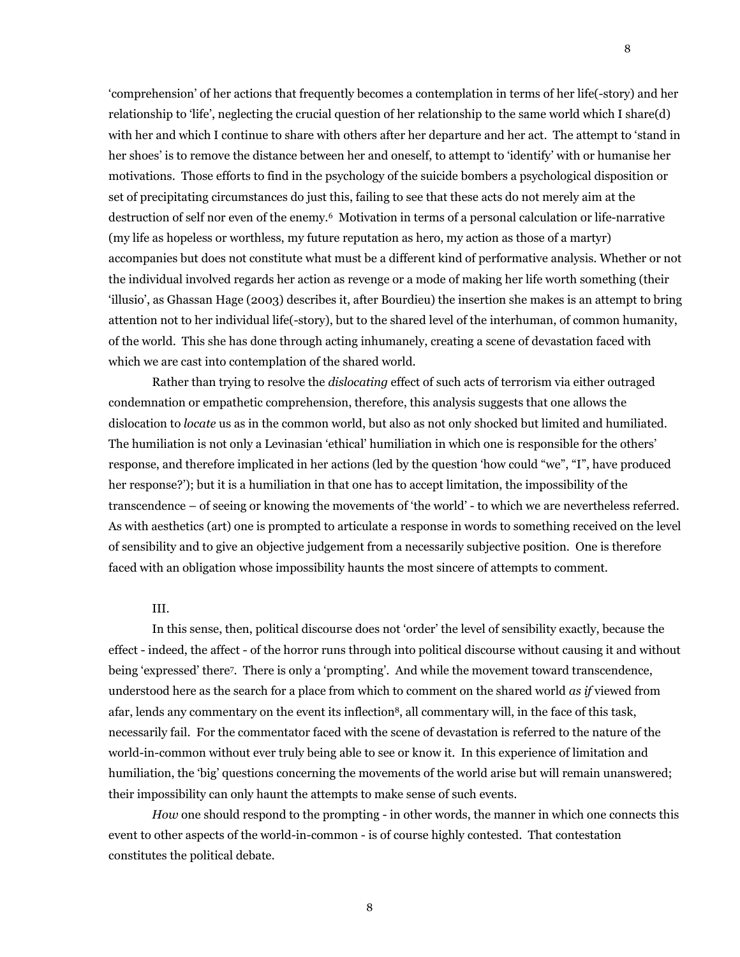'comprehension' of her actions that frequently becomes a contemplation in terms of her life(-story) and her relationship to 'life', neglecting the crucial question of her relationship to the same world which I share(d) with her and which I continue to share with others after her departure and her act. The attempt to 'stand in her shoes' is to remove the distance between her and oneself, to attempt to 'identify' with or humanise her motivations. Those efforts to find in the psychology of the suicide bombers a psychological disposition or set of precipitating circumstances do just this, failing to see that these acts do not merely aim at the destruction of self nor even of the enemy.6 Motivation in terms of a personal calculation or life-narrative (my life as hopeless or worthless, my future reputation as hero, my action as those of a martyr) accompanies but does not constitute what must be a different kind of performative analysis. Whether or not the individual involved regards her action as revenge or a mode of making her life worth something (their 'illusio', as Ghassan Hage (2003) describes it, after Bourdieu) the insertion she makes is an attempt to bring attention not to her individual life(-story), but to the shared level of the interhuman, of common humanity, of the world. This she has done through acting inhumanely, creating a scene of devastation faced with which we are cast into contemplation of the shared world.

Rather than trying to resolve the *dislocating* effect of such acts of terrorism via either outraged condemnation or empathetic comprehension, therefore, this analysis suggests that one allows the dislocation to *locate* us as in the common world, but also as not only shocked but limited and humiliated. The humiliation is not only a Levinasian 'ethical' humiliation in which one is responsible for the others' response, and therefore implicated in her actions (led by the question 'how could "we", "I", have produced her response?'); but it is a humiliation in that one has to accept limitation, the impossibility of the transcendence – of seeing or knowing the movements of 'the world' - to which we are nevertheless referred. As with aesthetics (art) one is prompted to articulate a response in words to something received on the level of sensibility and to give an objective judgement from a necessarily subjective position. One is therefore faced with an obligation whose impossibility haunts the most sincere of attempts to comment.

#### III.

In this sense, then, political discourse does not 'order' the level of sensibility exactly, because the effect - indeed, the affect - of the horror runs through into political discourse without causing it and without being 'expressed' there7. There is only a 'prompting'. And while the movement toward transcendence, understood here as the search for a place from which to comment on the shared world *as if* viewed from afar, lends any commentary on the event its inflection8, all commentary will, in the face of this task, necessarily fail. For the commentator faced with the scene of devastation is referred to the nature of the world-in-common without ever truly being able to see or know it. In this experience of limitation and humiliation, the 'big' questions concerning the movements of the world arise but will remain unanswered; their impossibility can only haunt the attempts to make sense of such events.

*How* one should respond to the prompting - in other words, the manner in which one connects this event to other aspects of the world-in-common - is of course highly contested. That contestation constitutes the political debate.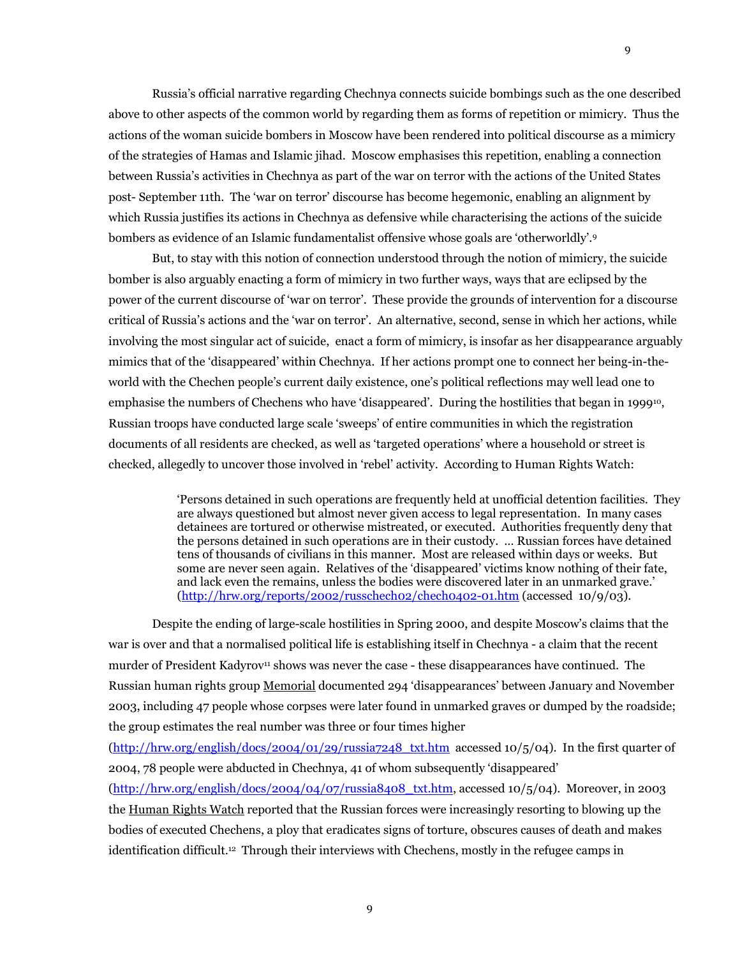Russia's official narrative regarding Chechnya connects suicide bombings such as the one described above to other aspects of the common world by regarding them as forms of repetition or mimicry. Thus the actions of the woman suicide bombers in Moscow have been rendered into political discourse as a mimicry of the strategies of Hamas and Islamic jihad. Moscow emphasises this repetition, enabling a connection between Russia's activities in Chechnya as part of the war on terror with the actions of the United States post- September 11th. The 'war on terror' discourse has become hegemonic, enabling an alignment by which Russia justifies its actions in Chechnya as defensive while characterising the actions of the suicide bombers as evidence of an Islamic fundamentalist offensive whose goals are 'otherworldly'.9

But, to stay with this notion of connection understood through the notion of mimicry, the suicide bomber is also arguably enacting a form of mimicry in two further ways, ways that are eclipsed by the power of the current discourse of 'war on terror'. These provide the grounds of intervention for a discourse critical of Russia's actions and the 'war on terror'. An alternative, second, sense in which her actions, while involving the most singular act of suicide, enact a form of mimicry, is insofar as her disappearance arguably mimics that of the 'disappeared' within Chechnya. If her actions prompt one to connect her being-in-theworld with the Chechen people's current daily existence, one's political reflections may well lead one to emphasise the numbers of Chechens who have 'disappeared'. During the hostilities that began in 1999<sup>10</sup>, Russian troops have conducted large scale 'sweeps' of entire communities in which the registration documents of all residents are checked, as well as 'targeted operations' where a household or street is checked, allegedly to uncover those involved in 'rebel' activity. According to Human Rights Watch:

> 'Persons detained in such operations are frequently held at unofficial detention facilities. They are always questioned but almost never given access to legal representation. In many cases detainees are tortured or otherwise mistreated, or executed. Authorities frequently deny that the persons detained in such operations are in their custody. … Russian forces have detained tens of thousands of civilians in this manner. Most are released within days or weeks. But some are never seen again. Relatives of the 'disappeared' victims know nothing of their fate, and lack even the remains, unless the bodies were discovered later in an unmarked grave.' (http://hrw.org/reports/2002/russchech02/chech0402-01.htm (accessed 10/9/03).

Despite the ending of large-scale hostilities in Spring 2000, and despite Moscow's claims that the war is over and that a normalised political life is establishing itself in Chechnya - a claim that the recent murder of President Kadyrov<sup>11</sup> shows was never the case - these disappearances have continued. The Russian human rights group Memorial documented 294 'disappearances' between January and November 2003, including 47 people whose corpses were later found in unmarked graves or dumped by the roadside; the group estimates the real number was three or four times higher

 $\frac{\text{http://hrw.org/english/docs/2004/01/29/russia7248} \text{txt.htm accessed 10/5/04}.$  In the first quarter of 2004, 78 people were abducted in Chechnya, 41 of whom subsequently 'disappeared' (http://hrw.org/english/docs/2004/04/07/russia8408\_txt.htm, accessed 10/5/04). Moreover, in 2003 the Human Rights Watch reported that the Russian forces were increasingly resorting to blowing up the bodies of executed Chechens, a ploy that eradicates signs of torture, obscures causes of death and makes identification difficult.12 Through their interviews with Chechens, mostly in the refugee camps in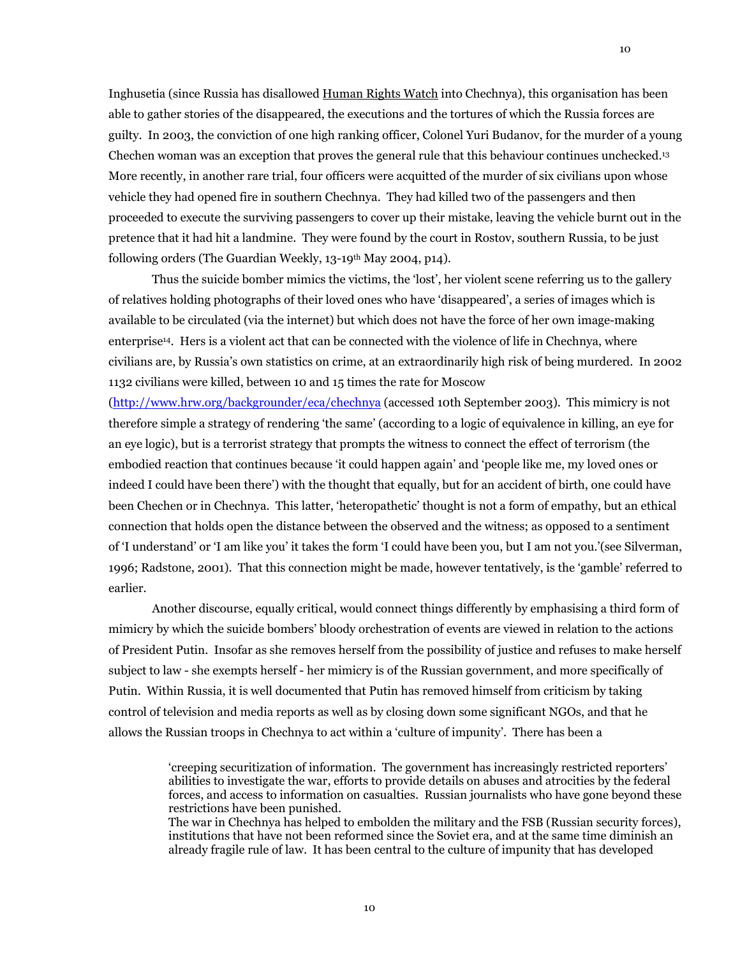Inghusetia (since Russia has disallowed Human Rights Watch into Chechnya), this organisation has been able to gather stories of the disappeared, the executions and the tortures of which the Russia forces are guilty. In 2003, the conviction of one high ranking officer, Colonel Yuri Budanov, for the murder of a young Chechen woman was an exception that proves the general rule that this behaviour continues unchecked.13 More recently, in another rare trial, four officers were acquitted of the murder of six civilians upon whose vehicle they had opened fire in southern Chechnya. They had killed two of the passengers and then proceeded to execute the surviving passengers to cover up their mistake, leaving the vehicle burnt out in the pretence that it had hit a landmine. They were found by the court in Rostov, southern Russia, to be just following orders (The Guardian Weekly, 13-19th May 2004, p14).

Thus the suicide bomber mimics the victims, the 'lost', her violent scene referring us to the gallery of relatives holding photographs of their loved ones who have 'disappeared', a series of images which is available to be circulated (via the internet) but which does not have the force of her own image-making enterprise14. Hers is a violent act that can be connected with the violence of life in Chechnya, where civilians are, by Russia's own statistics on crime, at an extraordinarily high risk of being murdered. In 2002 1132 civilians were killed, between 10 and 15 times the rate for Moscow

(http://www.hrw.org/backgrounder/eca/chechnya (accessed 10th September 2003). This mimicry is not therefore simple a strategy of rendering 'the same' (according to a logic of equivalence in killing, an eye for an eye logic), but is a terrorist strategy that prompts the witness to connect the effect of terrorism (the embodied reaction that continues because 'it could happen again' and 'people like me, my loved ones or indeed I could have been there') with the thought that equally, but for an accident of birth, one could have been Chechen or in Chechnya. This latter, 'heteropathetic' thought is not a form of empathy, but an ethical connection that holds open the distance between the observed and the witness; as opposed to a sentiment of 'I understand' or 'I am like you' it takes the form 'I could have been you, but I am not you.'(see Silverman, 1996; Radstone, 2001). That this connection might be made, however tentatively, is the 'gamble' referred to earlier.

Another discourse, equally critical, would connect things differently by emphasising a third form of mimicry by which the suicide bombers' bloody orchestration of events are viewed in relation to the actions of President Putin. Insofar as she removes herself from the possibility of justice and refuses to make herself subject to law - she exempts herself - her mimicry is of the Russian government, and more specifically of Putin. Within Russia, it is well documented that Putin has removed himself from criticism by taking control of television and media reports as well as by closing down some significant NGOs, and that he allows the Russian troops in Chechnya to act within a 'culture of impunity'. There has been a

'creeping securitization of information. The government has increasingly restricted reporters' abilities to investigate the war, efforts to provide details on abuses and atrocities by the federal forces, and access to information on casualties. Russian journalists who have gone beyond these restrictions have been punished. The war in Chechnya has helped to embolden the military and the FSB (Russian security forces),

institutions that have not been reformed since the Soviet era, and at the same time diminish an already fragile rule of law. It has been central to the culture of impunity that has developed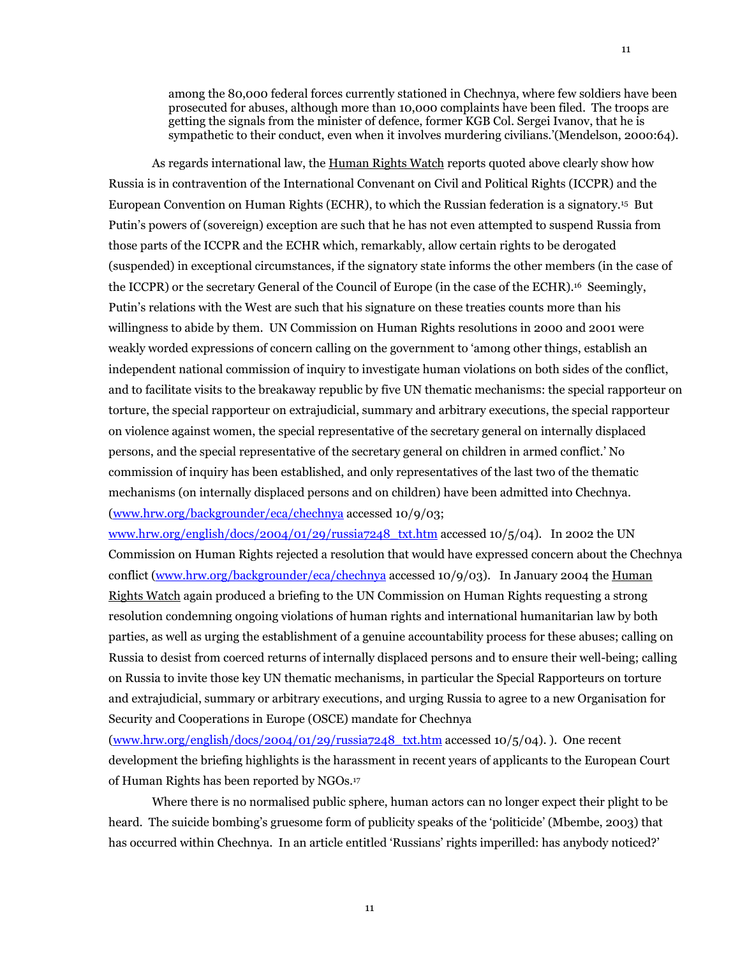among the 80,000 federal forces currently stationed in Chechnya, where few soldiers have been prosecuted for abuses, although more than 10,000 complaints have been filed. The troops are getting the signals from the minister of defence, former KGB Col. Sergei Ivanov, that he is sympathetic to their conduct, even when it involves murdering civilians.'(Mendelson, 2000:64).

As regards international law, the Human Rights Watch reports quoted above clearly show how Russia is in contravention of the International Convenant on Civil and Political Rights (ICCPR) and the European Convention on Human Rights (ECHR), to which the Russian federation is a signatory.15 But Putin's powers of (sovereign) exception are such that he has not even attempted to suspend Russia from those parts of the ICCPR and the ECHR which, remarkably, allow certain rights to be derogated (suspended) in exceptional circumstances, if the signatory state informs the other members (in the case of the ICCPR) or the secretary General of the Council of Europe (in the case of the ECHR).16 Seemingly, Putin's relations with the West are such that his signature on these treaties counts more than his willingness to abide by them. UN Commission on Human Rights resolutions in 2000 and 2001 were weakly worded expressions of concern calling on the government to 'among other things, establish an independent national commission of inquiry to investigate human violations on both sides of the conflict, and to facilitate visits to the breakaway republic by five UN thematic mechanisms: the special rapporteur on torture, the special rapporteur on extrajudicial, summary and arbitrary executions, the special rapporteur on violence against women, the special representative of the secretary general on internally displaced persons, and the special representative of the secretary general on children in armed conflict.' No commission of inquiry has been established, and only representatives of the last two of the thematic mechanisms (on internally displaced persons and on children) have been admitted into Chechnya. (www.hrw.org/backgrounder/eca/chechnya accessed 10/9/03;

www.hrw.org/english/docs/2004/01/29/russia7248\_txt.htm accessed 10/5/04). In 2002 the UN Commission on Human Rights rejected a resolution that would have expressed concern about the Chechnya conflict (www.hrw.org/backgrounder/eca/chechnya accessed 10/9/03). In January 2004 the Human Rights Watch again produced a briefing to the UN Commission on Human Rights requesting a strong resolution condemning ongoing violations of human rights and international humanitarian law by both parties, as well as urging the establishment of a genuine accountability process for these abuses; calling on Russia to desist from coerced returns of internally displaced persons and to ensure their well-being; calling on Russia to invite those key UN thematic mechanisms, in particular the Special Rapporteurs on torture and extrajudicial, summary or arbitrary executions, and urging Russia to agree to a new Organisation for Security and Cooperations in Europe (OSCE) mandate for Chechnya

(www.hrw.org/english/docs/2004/01/29/russia7248 txt.htm accessed 10/5/04). ). One recent development the briefing highlights is the harassment in recent years of applicants to the European Court of Human Rights has been reported by NGOs.17

Where there is no normalised public sphere, human actors can no longer expect their plight to be heard. The suicide bombing's gruesome form of publicity speaks of the 'politicide' (Mbembe, 2003) that has occurred within Chechnya. In an article entitled 'Russians' rights imperilled: has anybody noticed?'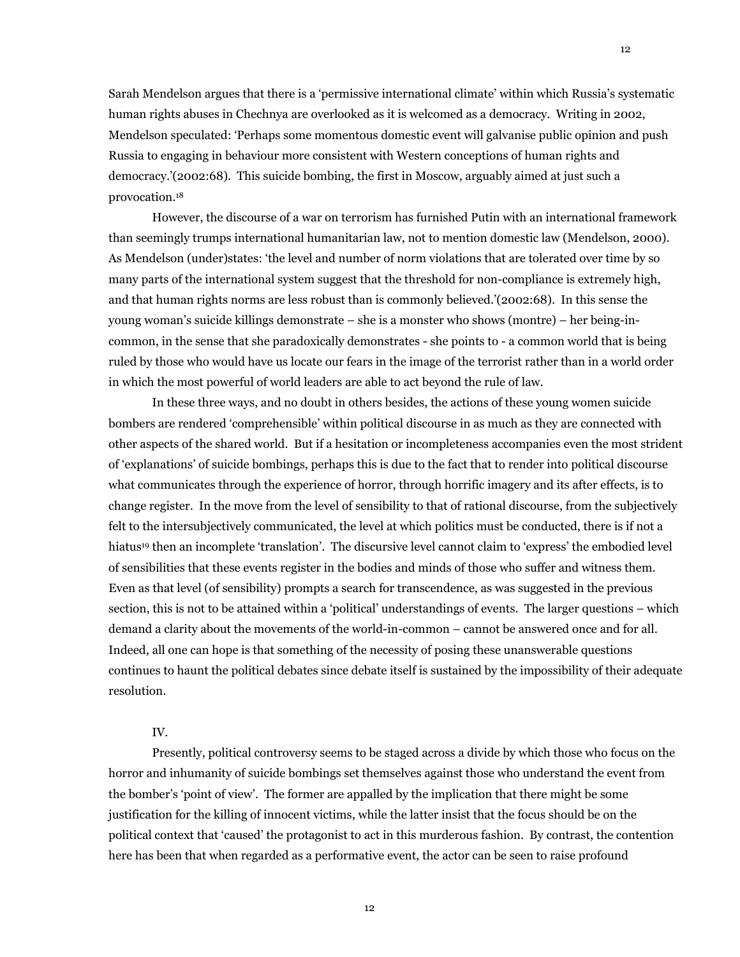Sarah Mendelson argues that there is a 'permissive international climate' within which Russia's systematic human rights abuses in Chechnya are overlooked as it is welcomed as a democracy. Writing in 2002, Mendelson speculated: 'Perhaps some momentous domestic event will galvanise public opinion and push Russia to engaging in behaviour more consistent with Western conceptions of human rights and democracy.'(2002:68). This suicide bombing, the first in Moscow, arguably aimed at just such a provocation.18

However, the discourse of a war on terrorism has furnished Putin with an international framework than seemingly trumps international humanitarian law, not to mention domestic law (Mendelson, 2000). As Mendelson (under)states: 'the level and number of norm violations that are tolerated over time by so many parts of the international system suggest that the threshold for non-compliance is extremely high, and that human rights norms are less robust than is commonly believed.'(2002:68). In this sense the young woman's suicide killings demonstrate – she is a monster who shows (montre) – her being-incommon, in the sense that she paradoxically demonstrates - she points to - a common world that is being ruled by those who would have us locate our fears in the image of the terrorist rather than in a world order in which the most powerful of world leaders are able to act beyond the rule of law.

In these three ways, and no doubt in others besides, the actions of these young women suicide bombers are rendered 'comprehensible' within political discourse in as much as they are connected with other aspects of the shared world. But if a hesitation or incompleteness accompanies even the most strident of 'explanations' of suicide bombings, perhaps this is due to the fact that to render into political discourse what communicates through the experience of horror, through horrific imagery and its after effects, is to change register. In the move from the level of sensibility to that of rational discourse, from the subjectively felt to the intersubjectively communicated, the level at which politics must be conducted, there is if not a hiatus<sup>19</sup> then an incomplete 'translation'. The discursive level cannot claim to 'express' the embodied level of sensibilities that these events register in the bodies and minds of those who suffer and witness them. Even as that level (of sensibility) prompts a search for transcendence, as was suggested in the previous section, this is not to be attained within a 'political' understandings of events. The larger questions – which demand a clarity about the movements of the world-in-common – cannot be answered once and for all. Indeed, all one can hope is that something of the necessity of posing these unanswerable questions continues to haunt the political debates since debate itself is sustained by the impossibility of their adequate resolution.

#### IV.

 Presently, political controversy seems to be staged across a divide by which those who focus on the horror and inhumanity of suicide bombings set themselves against those who understand the event from the bomber's 'point of view'. The former are appalled by the implication that there might be some justification for the killing of innocent victims, while the latter insist that the focus should be on the political context that 'caused' the protagonist to act in this murderous fashion. By contrast, the contention here has been that when regarded as a performative event, the actor can be seen to raise profound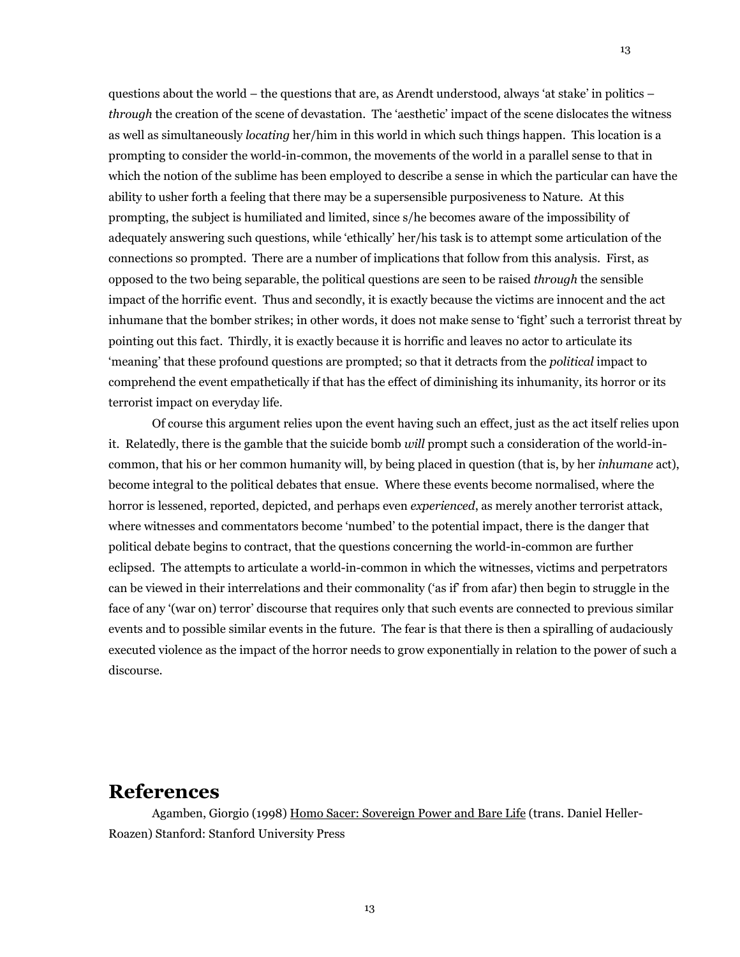questions about the world – the questions that are, as Arendt understood, always 'at stake' in politics – *through* the creation of the scene of devastation. The 'aesthetic' impact of the scene dislocates the witness as well as simultaneously *locating* her/him in this world in which such things happen. This location is a prompting to consider the world-in-common, the movements of the world in a parallel sense to that in which the notion of the sublime has been employed to describe a sense in which the particular can have the ability to usher forth a feeling that there may be a supersensible purposiveness to Nature. At this prompting, the subject is humiliated and limited, since s/he becomes aware of the impossibility of adequately answering such questions, while 'ethically' her/his task is to attempt some articulation of the connections so prompted. There are a number of implications that follow from this analysis. First, as opposed to the two being separable, the political questions are seen to be raised *through* the sensible impact of the horrific event. Thus and secondly, it is exactly because the victims are innocent and the act inhumane that the bomber strikes; in other words, it does not make sense to 'fight' such a terrorist threat by pointing out this fact. Thirdly, it is exactly because it is horrific and leaves no actor to articulate its 'meaning' that these profound questions are prompted; so that it detracts from the *political* impact to comprehend the event empathetically if that has the effect of diminishing its inhumanity, its horror or its terrorist impact on everyday life.

 Of course this argument relies upon the event having such an effect, just as the act itself relies upon it. Relatedly, there is the gamble that the suicide bomb *will* prompt such a consideration of the world-incommon, that his or her common humanity will, by being placed in question (that is, by her *inhumane* act), become integral to the political debates that ensue. Where these events become normalised, where the horror is lessened, reported, depicted, and perhaps even *experienced*, as merely another terrorist attack, where witnesses and commentators become 'numbed' to the potential impact, there is the danger that political debate begins to contract, that the questions concerning the world-in-common are further eclipsed. The attempts to articulate a world-in-common in which the witnesses, victims and perpetrators can be viewed in their interrelations and their commonality ('as if' from afar) then begin to struggle in the face of any '(war on) terror' discourse that requires only that such events are connected to previous similar events and to possible similar events in the future. The fear is that there is then a spiralling of audaciously executed violence as the impact of the horror needs to grow exponentially in relation to the power of such a discourse.

## **References**

Agamben, Giorgio (1998) Homo Sacer: Sovereign Power and Bare Life (trans. Daniel Heller-Roazen) Stanford: Stanford University Press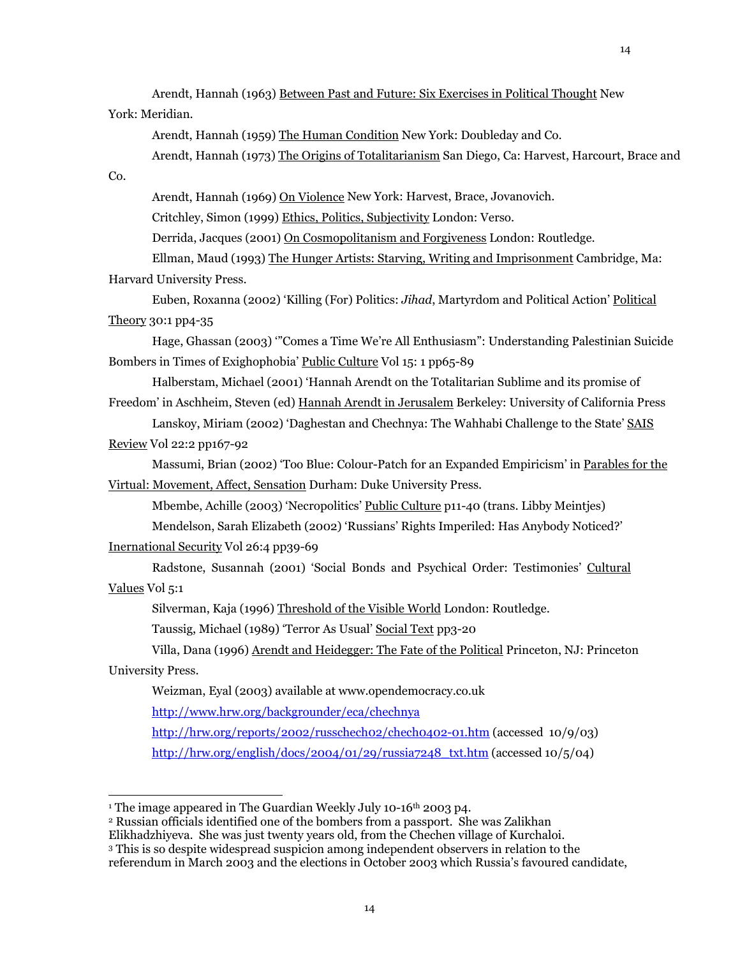Arendt, Hannah (1959) The Human Condition New York: Doubleday and Co.

Arendt, Hannah (1973) The Origins of Totalitarianism San Diego, Ca: Harvest, Harcourt, Brace and

Co.

l

Arendt, Hannah (1969) On Violence New York: Harvest, Brace, Jovanovich.

Critchley, Simon (1999) Ethics, Politics, Subjectivity London: Verso.

Derrida, Jacques (2001) On Cosmopolitanism and Forgiveness London: Routledge.

Ellman, Maud (1993) The Hunger Artists: Starving, Writing and Imprisonment Cambridge, Ma: Harvard University Press.

Euben, Roxanna (2002) 'Killing (For) Politics: *Jihad*, Martyrdom and Political Action' Political

### Theory 30:1 pp4-35

Hage, Ghassan (2003) '"Comes a Time We're All Enthusiasm": Understanding Palestinian Suicide Bombers in Times of Exighophobia' Public Culture Vol 15: 1 pp65-89

Halberstam, Michael (2001) 'Hannah Arendt on the Totalitarian Sublime and its promise of Freedom' in Aschheim, Steven (ed) Hannah Arendt in Jerusalem Berkeley: University of California Press

Lanskoy, Miriam (2002) 'Daghestan and Chechnya: The Wahhabi Challenge to the State' SAIS Review Vol 22:2 pp167-92

Massumi, Brian (2002) 'Too Blue: Colour-Patch for an Expanded Empiricism' in Parables for the Virtual: Movement, Affect, Sensation Durham: Duke University Press.

Mbembe, Achille (2003) 'Necropolitics' Public Culture p11-40 (trans. Libby Meintjes)

Mendelson, Sarah Elizabeth (2002) 'Russians' Rights Imperiled: Has Anybody Noticed?'

Inernational Security Vol 26:4 pp39-69

Radstone, Susannah (2001) 'Social Bonds and Psychical Order: Testimonies' Cultural Values Vol 5:1

Silverman, Kaja (1996) Threshold of the Visible World London: Routledge.

Taussig, Michael (1989) 'Terror As Usual' Social Text pp3-20

Villa, Dana (1996) Arendt and Heidegger: The Fate of the Political Princeton, NJ: Princeton University Press.

Weizman, Eyal (2003) available at www.opendemocracy.co.uk

http://www.hrw.org/backgrounder/eca/chechnya

http://hrw.org/reports/2002/russchech02/chech0402-01.htm (accessed 10/9/03) http://hrw.org/english/docs/2004/01/29/russia7248\_txt.htm (accessed 10/5/04)

<sup>&</sup>lt;sup>1</sup> The image appeared in The Guardian Weekly July 10-16<sup>th</sup> 2003 p4.<br><sup>2</sup> Russian officials identified one of the bombers from a passport. She was Zalikhan

Elikhadzhiyeva. She was just twenty years old, from the Chechen village of Kurchaloi.

<sup>3</sup> This is so despite widespread suspicion among independent observers in relation to the

referendum in March 2003 and the elections in October 2003 which Russia's favoured candidate,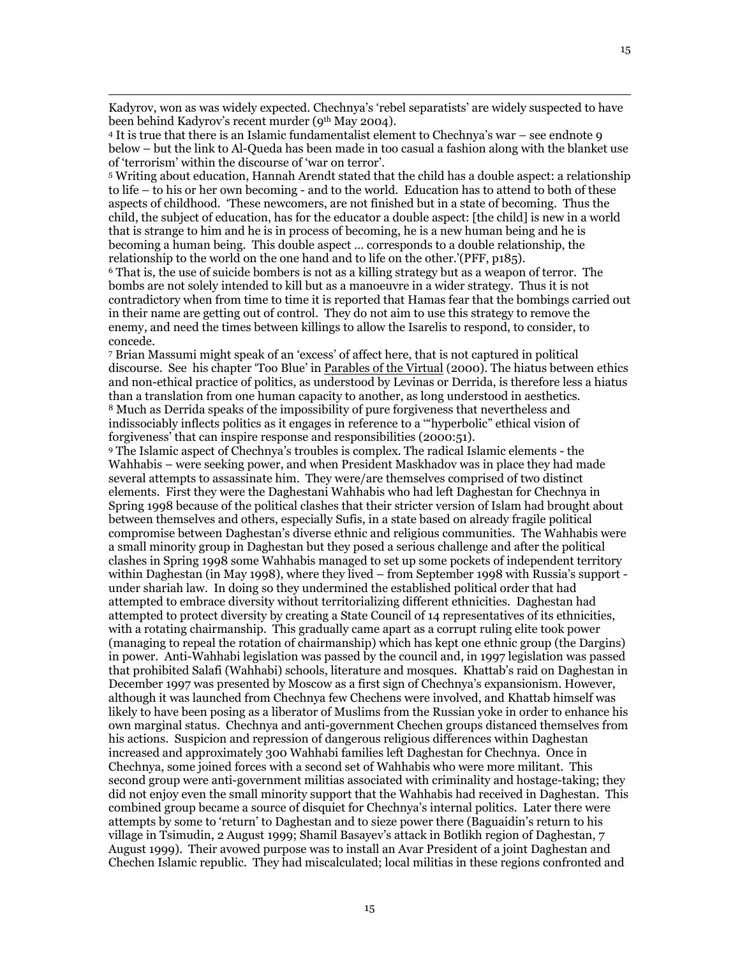Kadyrov, won as was widely expected. Chechnya's 'rebel separatists' are widely suspected to have been behind Kadyrov's recent murder (9th May 2004).

-

4 It is true that there is an Islamic fundamentalist element to Chechnya's war – see endnote 9 below – but the link to Al-Queda has been made in too casual a fashion along with the blanket use of 'terrorism' within the discourse of 'war on terror'.

5 Writing about education, Hannah Arendt stated that the child has a double aspect: a relationship to life – to his or her own becoming - and to the world. Education has to attend to both of these aspects of childhood. 'These newcomers, are not finished but in a state of becoming. Thus the child, the subject of education, has for the educator a double aspect: [the child] is new in a world that is strange to him and he is in process of becoming, he is a new human being and he is becoming a human being. This double aspect … corresponds to a double relationship, the relationship to the world on the one hand and to life on the other.'(PFF, p185).

6 That is, the use of suicide bombers is not as a killing strategy but as a weapon of terror. The bombs are not solely intended to kill but as a manoeuvre in a wider strategy. Thus it is not contradictory when from time to time it is reported that Hamas fear that the bombings carried out in their name are getting out of control. They do not aim to use this strategy to remove the enemy, and need the times between killings to allow the Isarelis to respond, to consider, to concede.

7 Brian Massumi might speak of an 'excess' of affect here, that is not captured in political discourse. See his chapter 'Too Blue' in Parables of the Virtual (2000). The hiatus between ethics and non-ethical practice of politics, as understood by Levinas or Derrida, is therefore less a hiatus than a translation from one human capacity to another, as long understood in aesthetics. 8 Much as Derrida speaks of the impossibility of pure forgiveness that nevertheless and indissociably inflects politics as it engages in reference to a '"hyperbolic" ethical vision of forgiveness' that can inspire response and responsibilities (2000:51).

9 The Islamic aspect of Chechnya's troubles is complex. The radical Islamic elements - the Wahhabis – were seeking power, and when President Maskhadov was in place they had made several attempts to assassinate him. They were/are themselves comprised of two distinct elements. First they were the Daghestani Wahhabis who had left Daghestan for Chechnya in Spring 1998 because of the political clashes that their stricter version of Islam had brought about between themselves and others, especially Sufis, in a state based on already fragile political compromise between Daghestan's diverse ethnic and religious communities. The Wahhabis were a small minority group in Daghestan but they posed a serious challenge and after the political clashes in Spring 1998 some Wahhabis managed to set up some pockets of independent territory within Daghestan (in May 1998), where they lived – from September 1998 with Russia's support under shariah law. In doing so they undermined the established political order that had attempted to embrace diversity without territorializing different ethnicities. Daghestan had attempted to protect diversity by creating a State Council of 14 representatives of its ethnicities, with a rotating chairmanship. This gradually came apart as a corrupt ruling elite took power (managing to repeal the rotation of chairmanship) which has kept one ethnic group (the Dargins) in power. Anti-Wahhabi legislation was passed by the council and, in 1997 legislation was passed that prohibited Salafi (Wahhabi) schools, literature and mosques. Khattab's raid on Daghestan in December 1997 was presented by Moscow as a first sign of Chechnya's expansionism. However, although it was launched from Chechnya few Chechens were involved, and Khattab himself was likely to have been posing as a liberator of Muslims from the Russian yoke in order to enhance his own marginal status. Chechnya and anti-government Chechen groups distanced themselves from his actions. Suspicion and repression of dangerous religious differences within Daghestan increased and approximately 300 Wahhabi families left Daghestan for Chechnya. Once in Chechnya, some joined forces with a second set of Wahhabis who were more militant. This second group were anti-government militias associated with criminality and hostage-taking; they did not enjoy even the small minority support that the Wahhabis had received in Daghestan. This combined group became a source of disquiet for Chechnya's internal politics. Later there were attempts by some to 'return' to Daghestan and to sieze power there (Baguaidin's return to his village in Tsimudin, 2 August 1999; Shamil Basayev's attack in Botlikh region of Daghestan, 7 August 1999). Their avowed purpose was to install an Avar President of a joint Daghestan and Chechen Islamic republic. They had miscalculated; local militias in these regions confronted and